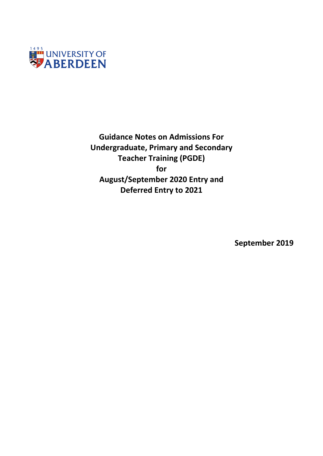

**Guidance Notes on Admissions For Undergraduate, Primary and Secondary Teacher Training (PGDE) for August/September 2020 Entry and Deferred Entry to 2021**

**September 2019**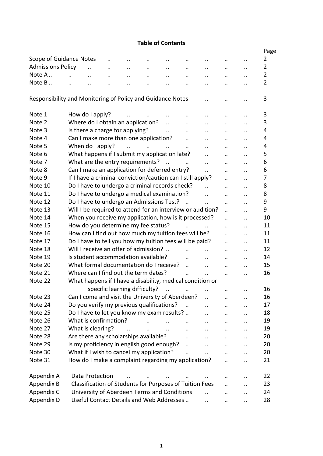## **Table of Contents**

|                                                                |                      |                                 |                      |                      |                                                            |                      |                      |                                                            |                      |                      | Page           |
|----------------------------------------------------------------|----------------------|---------------------------------|----------------------|----------------------|------------------------------------------------------------|----------------------|----------------------|------------------------------------------------------------|----------------------|----------------------|----------------|
| <b>Scope of Guidance Notes</b>                                 |                      |                                 |                      |                      |                                                            |                      |                      |                                                            |                      |                      | $\overline{2}$ |
| <b>Admissions Policy</b>                                       |                      | $\ddot{\phantom{a}}$            | $\ddotsc$            | $\ddotsc$            | $\ddotsc$                                                  | $\ddotsc$            | $\ddotsc$            | $\ddotsc$                                                  | $\cdot\cdot$         | $\cdot$ .            | $\overline{2}$ |
| Note A                                                         | $\ddotsc$            | $\ddotsc$                       | $\ddot{\phantom{a}}$ | $\ddotsc$            | $\ddotsc$                                                  | $\ddotsc$            | $\ddotsc$            | $\ddotsc$                                                  | $\ddotsc$            | $\ddotsc$            | $\overline{2}$ |
| Note B                                                         | $\ddot{\phantom{a}}$ | $\ddotsc$                       | $\ddot{\phantom{a}}$ | $\ddot{\phantom{0}}$ |                                                            | $\ddotsc$            |                      | $\ddotsc$                                                  | $\ddot{\phantom{0}}$ | $\ddot{\phantom{a}}$ | $\overline{2}$ |
| Responsibility and Monitoring of Policy and Guidance Notes<br> |                      |                                 |                      |                      |                                                            |                      |                      |                                                            | $\cdot$ .            | $\ddot{\phantom{a}}$ | 3              |
| Note 1                                                         |                      | How do I apply?                 |                      |                      |                                                            |                      |                      | $\ddot{\phantom{0}}$                                       | $\ddotsc$            | $\ddot{\phantom{a}}$ | 3              |
| Note 2                                                         |                      |                                 |                      |                      | Where do I obtain an application?                          | $\ddotsc$            | $\ddot{\phantom{a}}$ | $\ddot{\phantom{a}}$                                       | $\ddotsc$            | $\ddot{\phantom{0}}$ | 3              |
| Note 3                                                         |                      | Is there a charge for applying? |                      |                      |                                                            | $\ddot{\phantom{a}}$ | $\ddot{\phantom{a}}$ | $\ddotsc$                                                  | $\ddot{\phantom{0}}$ | $\ddotsc$            | 4              |
| Note 4                                                         |                      |                                 |                      |                      | Can I make more than one application?                      |                      | $\ddot{\phantom{a}}$ | $\ddot{\phantom{0}}$                                       | $\cdot$ .            | $\ddot{\phantom{0}}$ | 4              |
| Note 5                                                         |                      | When do I apply?                |                      | $\ddotsc$            | $\mathbf{r}$ and $\mathbf{r}$ and $\mathbf{r}$             |                      | $\ddotsc$            | $\ddot{\phantom{a}}$                                       | $\ddot{\phantom{a}}$ | $\ddot{\phantom{a}}$ | 4              |
| Note 6                                                         |                      |                                 |                      |                      | What happens if I submit my application late?              |                      |                      | $\ddot{\phantom{a}}$                                       | $\ddot{\phantom{a}}$ | $\ddot{\phantom{a}}$ | 5              |
| Note 7                                                         |                      |                                 |                      |                      | What are the entry requirements?                           | $\dddotsc$           |                      | $\ddotsc$                                                  | $\ddot{\phantom{a}}$ | $\ddot{\phantom{a}}$ | 6              |
| Note 8                                                         |                      |                                 |                      |                      | Can I make an application for deferred entry?              |                      |                      | $\ddot{\phantom{a}}$                                       | $\ddot{\phantom{a}}$ | $\ddot{\phantom{a}}$ | 6              |
| Note 9                                                         |                      |                                 |                      |                      | If I have a criminal conviction/caution can I still apply? |                      |                      |                                                            | $\ddot{\phantom{a}}$ | $\ddot{\phantom{a}}$ | 7              |
| Note 10                                                        |                      |                                 |                      |                      | Do I have to undergo a criminal records check?             |                      |                      | $\ddot{\phantom{a}}$                                       | $\ddot{\phantom{a}}$ | $\ddot{\phantom{a}}$ | 8              |
| Note 11                                                        |                      |                                 |                      |                      | Do I have to undergo a medical examination?                |                      |                      | $\ddot{\phantom{a}}$                                       | $\ddot{\phantom{a}}$ | $\ddot{\phantom{0}}$ | 8              |
| Note 12                                                        |                      |                                 |                      |                      | Do I have to undergo an Admissions Test?                   |                      |                      | $\ddotsc$                                                  | $\ddot{\phantom{a}}$ | $\ddot{\phantom{a}}$ | 9              |
| Note 13                                                        |                      |                                 |                      |                      |                                                            |                      |                      | Will I be required to attend for an interview or audition? | $\ddot{\phantom{a}}$ | $\ddot{\phantom{a}}$ | 9              |
| Note 14                                                        |                      |                                 |                      |                      | When you receive my application, how is it processed?      |                      |                      |                                                            | $\ddotsc$            | $\ddot{\phantom{a}}$ | 10             |
| Note 15                                                        |                      |                                 |                      |                      | How do you determine my fee status?                        |                      |                      |                                                            | $\ddot{\phantom{a}}$ | $\ddot{\phantom{a}}$ | 11             |
| Note 16                                                        |                      |                                 |                      |                      | How can I find out how much my tuition fees will be?       |                      |                      |                                                            | $\ddot{\phantom{a}}$ | $\ddot{\phantom{a}}$ | 11             |
| Note 17                                                        |                      |                                 |                      |                      | Do I have to tell you how my tuition fees will be paid?    |                      |                      |                                                            | $\ddot{\phantom{a}}$ | $\ddot{\phantom{a}}$ | 11             |
| Note 18                                                        |                      |                                 |                      |                      | Will I receive an offer of admission?                      |                      |                      |                                                            | $\ddotsc$            | $\ddot{\phantom{0}}$ | 12             |
| Note 19                                                        |                      |                                 |                      |                      | Is student accommodation available?                        |                      | $\ddot{\phantom{a}}$ | $\ddot{\phantom{a}}$                                       | $\ddotsc$            | $\ddot{\phantom{a}}$ | 14             |
| Note 20                                                        |                      |                                 |                      |                      | What formal documentation do I receive?                    |                      |                      | $\ddot{\phantom{a}}$                                       | $\ddot{\phantom{a}}$ | $\ddot{\phantom{0}}$ | 15             |
| Note 21                                                        |                      |                                 |                      |                      | Where can I find out the term dates?                       |                      | $\ddot{\phantom{a}}$ | $\ddot{\phantom{a}}$                                       | $\ddot{\phantom{a}}$ | $\ddot{\phantom{a}}$ | 16             |
| Note 22                                                        |                      |                                 |                      |                      | What happens if I have a disability, medical condition or  |                      |                      |                                                            |                      |                      |                |
|                                                                |                      |                                 |                      |                      | specific learning difficulty?                              |                      |                      |                                                            |                      |                      | 16             |
| Note 23                                                        |                      |                                 |                      |                      | Can I come and visit the University of Aberdeen?           |                      |                      |                                                            |                      | $\ddot{\phantom{a}}$ | 16             |
| Note 24                                                        |                      |                                 |                      |                      | Do you verify my previous qualifications?                  |                      |                      | $\ddot{\phantom{a}}$                                       | $\ddot{\phantom{0}}$ | $\ddot{\phantom{a}}$ | 17             |
| Note 25                                                        |                      |                                 |                      |                      | Do I have to let you know my exam results?                 |                      |                      |                                                            |                      | $\ddot{\phantom{a}}$ | 18             |
| Note 26                                                        |                      | What is confirmation?           |                      |                      |                                                            |                      |                      |                                                            |                      |                      | 19             |
| Note 27                                                        |                      | What is clearing?               |                      |                      |                                                            |                      |                      |                                                            | $\cdot$ .            | $\ddot{\phantom{0}}$ | 19             |
| Note 28                                                        |                      |                                 |                      |                      | Are there any scholarships available?                      |                      | $\ddot{\phantom{a}}$ | $\ddot{\phantom{a}}$                                       | $\ddot{\phantom{a}}$ | $\ddot{\phantom{a}}$ | 20             |
| Note 29                                                        |                      |                                 |                      |                      | Is my proficiency in english good enough?                  |                      | $\ddot{\phantom{a}}$ |                                                            | $\cdot$ .            | $\ddot{\phantom{0}}$ | 20             |
| Note 30                                                        |                      |                                 |                      |                      | What if I wish to cancel my application?                   |                      | $\ddot{\phantom{a}}$ |                                                            | $\ddot{\phantom{a}}$ | $\ddot{\phantom{a}}$ | 20             |
| Note 31                                                        |                      |                                 |                      |                      |                                                            |                      |                      |                                                            |                      | $\ddot{\phantom{a}}$ | 21             |
|                                                                |                      |                                 |                      |                      | How do I make a complaint regarding my application?        |                      |                      |                                                            |                      |                      |                |
| Appendix A                                                     |                      | Data Protection                 |                      |                      |                                                            |                      |                      |                                                            |                      | $\ddot{\phantom{0}}$ | 22             |
| Appendix B                                                     |                      |                                 |                      |                      | Classification of Students for Purposes of Tuition Fees    |                      |                      |                                                            |                      | $\ddot{\phantom{a}}$ | 23             |
| Appendix C                                                     |                      |                                 |                      |                      | University of Aberdeen Terms and Conditions                |                      |                      |                                                            | $\ddot{\phantom{0}}$ | $\ddot{\phantom{0}}$ | 24             |
| Appendix D                                                     |                      |                                 |                      |                      | Useful Contact Details and Web Addresses                   |                      |                      |                                                            |                      | $\ddot{\phantom{a}}$ | 28             |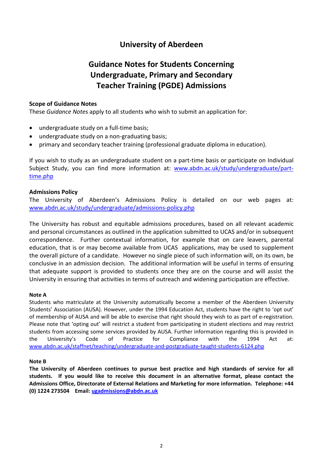# **University of Aberdeen**

# **Guidance Notes for Students Concerning Undergraduate, Primary and Secondary Teacher Training (PGDE) Admissions**

#### **Scope of Guidance Notes**

These *Guidance Notes* apply to all students who wish to submit an application for:

- undergraduate study on a full-time basis;
- undergraduate study on a non-graduating basis;
- primary and secondary teacher training (professional graduate diploma in education).

If you wish to study as an undergraduate student on a part-time basis or participate on Individual Subject Study, you can find more information at: [www.abdn.ac.uk/study/undergraduate/part](http://www.abdn.ac.uk/study/undergraduate/part-time.php)[time.php](http://www.abdn.ac.uk/study/undergraduate/part-time.php)

#### **Admissions Policy**

The University of Aberdeen's Admissions Policy is detailed on our web pages at: [www.abdn.ac.uk/study/undergraduate/admissions-policy.php](http://www.abdn.ac.uk/study/undergraduate/admissions-policy.php)

The University has robust and equitable admissions procedures, based on all relevant academic and personal circumstances as outlined in the application submitted to UCAS and/or in subsequent correspondence. Further contextual information, for example that on care leavers, parental education, that is or may become available from UCAS applications, may be used to supplement the overall picture of a candidate. However no single piece of such information will, on its own, be conclusive in an admission decision. The additional information will be useful in terms of ensuring that adequate support is provided to students once they are on the course and will assist the University in ensuring that activities in terms of outreach and widening participation are effective.

#### **Note A**

Students who matriculate at the University automatically become a member of the Aberdeen University Students' Association (AUSA). However, under the 1994 Education Act, students have the right to 'opt out' of membership of AUSA and will be able to exercise that right should they wish to as part of e-registration. Please note that 'opting out' will restrict a student from participating in student elections and may restrict students from accessing some services provided by AUSA. Further information regarding this is provided in the University's Code of Practice for Compliance with the 1994 Act at: [www.abdn.ac.uk/staffnet/teaching/undergraduate-and-postgraduate-taught-students-6124.php](http://www.abdn.ac.uk/staffnet/teaching/undergraduate-and-postgraduate-taught-students-6124.php)

#### **Note B**

**The University of Aberdeen continues to pursue best practice and high standards of service for all students. If you would like to receive this document in an alternative format, please contact the Admissions Office, Directorate of External Relations and Marketing for more information. Telephone: +44 (0) 1224 273504 Email: [ugadmissions@abdn.ac.uk](mailto:ugadmissions@abdn.ac.uk)**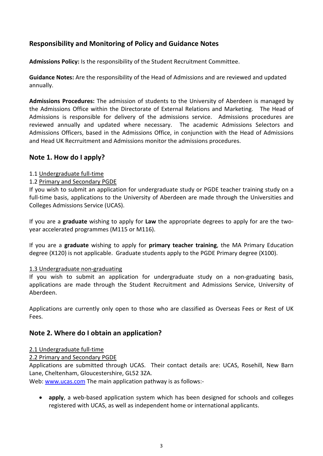## **Responsibility and Monitoring of Policy and Guidance Notes**

**Admissions Policy:** Is the responsibility of the Student Recruitment Committee.

**Guidance Notes:** Are the responsibility of the Head of Admissions and are reviewed and updated annually.

**Admissions Procedures:** The admission of students to the University of Aberdeen is managed by the Admissions Office within the Directorate of External Relations and Marketing. The Head of Admissions is responsible for delivery of the admissions service. Admissions procedures are reviewed annually and updated where necessary. The academic Admissions Selectors and Admissions Officers, based in the Admissions Office, in conjunction with the Head of Admissions and Head UK Recrruitment and Admissions monitor the admissions procedures.

## **Note 1. How do I apply?**

### 1.1 Undergraduate full-time

### 1.2 Primary and Secondary PGDE

If you wish to submit an application for undergraduate study or PGDE teacher training study on a full-time basis, applications to the University of Aberdeen are made through the Universities and Colleges Admissions Service (UCAS).

If you are a **graduate** wishing to apply for **Law** the appropriate degrees to apply for are the twoyear accelerated programmes (M115 or M116).

If you are a **graduate** wishing to apply for **primary teacher training**, the MA Primary Education degree (X120) is not applicable. Graduate students apply to the PGDE Primary degree (X100).

### 1.3 Undergraduate non-graduating

If you wish to submit an application for undergraduate study on a non-graduating basis, applications are made through the Student Recruitment and Admissions Service, University of Aberdeen.

Applications are currently only open to those who are classified as Overseas Fees or Rest of UK Fees.

## **Note 2. Where do I obtain an application?**

### 2.1 Undergraduate full-time

### 2.2 Primary and Secondary PGDE

Applications are submitted through UCAS. Their contact details are: UCAS, Rosehill, New Barn Lane, Cheltenham, Gloucestershire, GL52 3ZA.

Web: [www.ucas.com](http://www.ucas.com/) The main application pathway is as follows:-

• **apply**, a web-based application system which has been designed for schools and colleges registered with UCAS, as well as independent home or international applicants.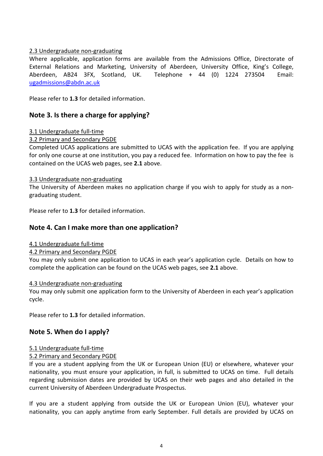#### 2.3 Undergraduate non-graduating

Where applicable, application forms are available from the Admissions Office, Directorate of External Relations and Marketing, University of Aberdeen, University Office, King's College, Aberdeen, AB24 3FX, Scotland, UK. Telephone + 44 (0) 1224 273504 Email: [ugadmissions@abdn.ac.uk](mailto:ugadmissions@abdn.ac.uk)

Please refer to **1.3** for detailed information.

## **Note 3. Is there a charge for applying?**

### 3.1 Undergraduate full-time

#### 3.2 Primary and Secondary PGDE

Completed UCAS applications are submitted to UCAS with the application fee. If you are applying for only one course at one institution, you pay a reduced fee. Information on how to pay the fee is contained on the UCAS web pages, see **2.1** above.

#### 3.3 Undergraduate non-graduating

The University of Aberdeen makes no application charge if you wish to apply for study as a nongraduating student.

Please refer to **1.3** for detailed information.

### **Note 4. Can I make more than one application?**

#### 4.1 Undergraduate full-time

### 4.2 Primary and Secondary PGDE

You may only submit one application to UCAS in each year's application cycle. Details on how to complete the application can be found on the UCAS web pages, see **2.1** above.

#### 4.3 Undergraduate non-graduating

You may only submit one application form to the University of Aberdeen in each year's application cycle.

Please refer to **1.3** for detailed information.

## **Note 5. When do I apply?**

#### 5.1 Undergraduate full-time

### 5.2 Primary and Secondary PGDE

If you are a student applying from the UK or European Union (EU) or elsewhere, whatever your nationality, you must ensure your application, in full, is submitted to UCAS on time. Full details regarding submission dates are provided by UCAS on their web pages and also detailed in the current University of Aberdeen Undergraduate Prospectus.

If you are a student applying from outside the UK or European Union (EU), whatever your nationality, you can apply anytime from early September. Full details are provided by UCAS on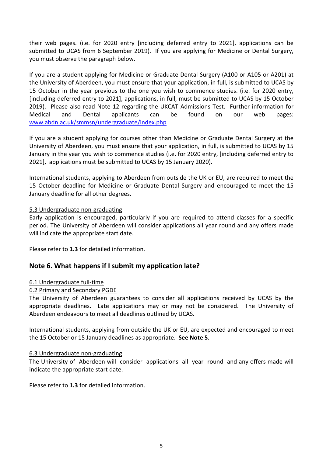their web pages. (i.e. for 2020 entry [including deferred entry to 2021], applications can be submitted to UCAS from 6 September 2019). If you are applying for Medicine or Dental Surgery, you must observe the paragraph below.

If you are a student applying for Medicine or Graduate Dental Surgery (A100 or A105 or A201) at the University of Aberdeen, you must ensure that your application, in full, is submitted to UCAS by 15 October in the year previous to the one you wish to commence studies. (i.e. for 2020 entry, [including deferred entry to 2021], applications, in full, must be submitted to UCAS by 15 October 2019). Please also read Note 12 regarding the UKCAT Admissions Test. Further information for Medical and Dental applicants can be found on our web pages: [www.abdn.ac.uk/smmsn/undergraduate/index.php](http://www.abdn.ac.uk/smmsn/undergraduate/index.php)

If you are a student applying for courses other than Medicine or Graduate Dental Surgery at the University of Aberdeen, you must ensure that your application, in full, is submitted to UCAS by 15 January in the year you wish to commence studies (i.e. for 2020 entry, [including deferred entry to 2021], applications must be submitted to UCAS by 15 January 2020).

International students, applying to Aberdeen from outside the UK or EU, are required to meet the 15 October deadline for Medicine or Graduate Dental Surgery and encouraged to meet the 15 January deadline for all other degrees.

#### 5.3 Undergraduate non-graduating

Early application is encouraged, particularly if you are required to attend classes for a specific period. The University of Aberdeen will consider applications all year round and any offers made will indicate the appropriate start date.

Please refer to **1.3** for detailed information.

## **Note 6. What happens if I submit my application late?**

### 6.1 Undergraduate full-time

#### 6.2 Primary and Secondary PGDE

The University of Aberdeen guarantees to consider all applications received by UCAS by the appropriate deadlines. Late applications may or may not be considered. The University of Aberdeen endeavours to meet all deadlines outlined by UCAS.

International students, applying from outside the UK or EU, are expected and encouraged to meet the 15 October or 15 January deadlines as appropriate. **See Note 5.**

#### 6.3 Undergraduate non-graduating

The University of Aberdeen will consider applications all year round and any offers made will indicate the appropriate start date.

Please refer to **1.3** for detailed information.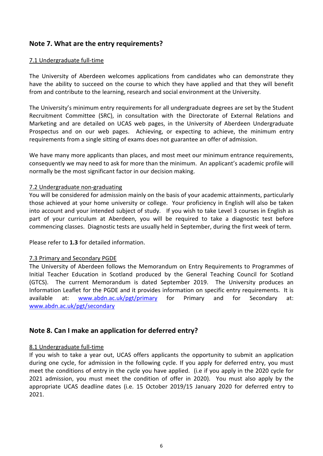## **Note 7. What are the entry requirements?**

#### 7.1 Undergraduate full-time

The University of Aberdeen welcomes applications from candidates who can demonstrate they have the ability to succeed on the course to which they have applied and that they will benefit from and contribute to the learning, research and social environment at the University.

The University's minimum entry requirements for all undergraduate degrees are set by the Student Recruitment Committee (SRC), in consultation with the Directorate of External Relations and Marketing and are detailed on UCAS web pages, in the University of Aberdeen Undergraduate Prospectus and on our web pages. Achieving, or expecting to achieve, the minimum entry requirements from a single sitting of exams does not guarantee an offer of admission.

We have many more applicants than places, and most meet our minimum entrance requirements, consequently we may need to ask for more than the minimum. An applicant's academic profile will normally be the most significant factor in our decision making.

#### 7.2 Undergraduate non-graduating

You will be considered for admission mainly on the basis of your academic attainments, particularly those achieved at your home university or college. Your proficiency in English will also be taken into account and your intended subject of study. If you wish to take Level 3 courses in English as part of your curriculum at Aberdeen, you will be required to take a diagnostic test before commencing classes. Diagnostic tests are usually held in September, during the first week of term.

Please refer to **1.3** for detailed information.

### 7.3 Primary and Secondary PGDE

The University of Aberdeen follows the Memorandum on Entry Requirements to Programmes of Initial Teacher Education in Scotland produced by the General Teaching Council for Scotland (GTCS). The current Memorandum is dated September 2019. The University produces an Information Leaflet for the PGDE and it provides information on specific entry requirements. It is available at: **[www.abdn.ac.uk/pgt/primary](http://www.abdn.ac.uk/pgt/primary)** for Primary and for Secondary at: [www.abdn.ac.uk/pgt/secondary](http://www.abdn.ac.uk/pgt/secondary)

## **Note 8. Can I make an application for deferred entry?**

### 8.1 Undergraduate full-time

If you wish to take a year out, UCAS offers applicants the opportunity to submit an application during one cycle, for admission in the following cycle. If you apply for deferred entry, you must meet the conditions of entry in the cycle you have applied. (i.e if you apply in the 2020 cycle for 2021 admission, you must meet the condition of offer in 2020). You must also apply by the appropriate UCAS deadline dates (i.e. 15 October 2019/15 January 2020 for deferred entry to 2021.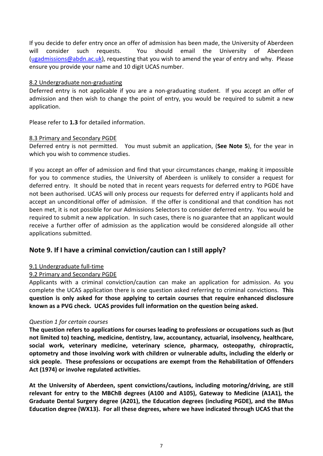If you decide to defer entry once an offer of admission has been made, the University of Aberdeen will consider such requests. You should email the University of Aberdeen [\(ugadmissions@abdn.ac.uk\)](mailto:ugadmissions@abdn.ac.uk), requesting that you wish to amend the year of entry and why. Please ensure you provide your name and 10 digit UCAS number.

### 8.2 Undergraduate non-graduating

Deferred entry is not applicable if you are a non-graduating student. If you accept an offer of admission and then wish to change the point of entry, you would be required to submit a new application.

Please refer to **1.3** for detailed information.

#### 8.3 Primary and Secondary PGDE

Deferred entry is not permitted. You must submit an application, (**See Note 5**), for the year in which you wish to commence studies.

If you accept an offer of admission and find that your circumstances change, making it impossible for you to commence studies, the University of Aberdeen is unlikely to consider a request for deferred entry. It should be noted that in recent years requests for deferred entry to PGDE have not been authorised. UCAS will only process our requests for deferred entry if applicants hold and accept an unconditional offer of admission. If the offer is conditional and that condition has not been met, it is not possible for our Admissions Selectors to consider deferred entry. You would be required to submit a new application. In such cases, there is no guarantee that an applicant would receive a further offer of admission as the application would be considered alongside all other applications submitted.

## **Note 9. If I have a criminal conviction/caution can I still apply?**

### 9.1 Undergraduate full-time

### 9.2 Primary and Secondary PGDE

Applicants with a criminal conviction/caution can make an application for admission. As you complete the UCAS application there is one question asked referring to criminal convictions. **This question is only asked for those applying to certain courses that require enhanced disclosure known as a PVG check. UCAS provides full information on the question being asked.**

### *Question 1 for certain courses*

**The question refers to applications for courses leading to professions or occupations such as (but not limited to) teaching, medicine, dentistry, law, accountancy, actuarial, insolvency, healthcare, social work, veterinary medicine, veterinary science, pharmacy, osteopathy, chiropractic, optometry and those involving work with children or vulnerable adults, including the elderly or sick people. These professions or occupations are exempt from the Rehabilitation of Offenders Act (1974) or involve regulated activities.** 

**At the University of Aberdeen, spent convictions/cautions, including motoring/driving, are still relevant for entry to the MBChB degrees (A100 and A105), Gateway to Medicine (A1A1), the Graduate Dental Surgery degree (A201), the Education degrees (including PGDE), and the BMus Education degree (WX13). For all these degrees, where we have indicated through UCAS that the**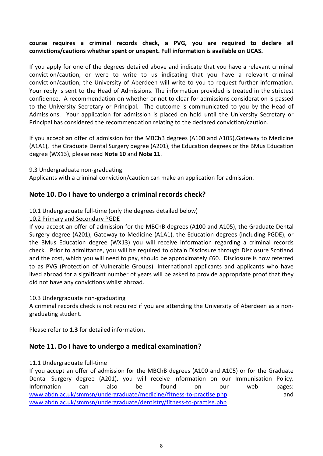### **course requires a criminal records check, a PVG, you are required to declare all convictions/cautions whether spent or unspent. Full information is available on UCAS.**

If you apply for one of the degrees detailed above and indicate that you have a relevant criminal conviction/caution, or were to write to us indicating that you have a relevant criminal conviction/caution, the University of Aberdeen will write to you to request further information. Your reply is sent to the Head of Admissions. The information provided is treated in the strictest confidence. A recommendation on whether or not to clear for admissions consideration is passed to the University Secretary or Principal. The outcome is communicated to you by the Head of Admissions. Your application for admission is placed on hold until the University Secretary or Principal has considered the recommendation relating to the declared conviction/caution.

If you accept an offer of admission for the MBChB degrees (A100 and A105),Gateway to Medicine (A1A1), the Graduate Dental Surgery degree (A201), the Education degrees or the BMus Education degree (WX13), please read **Note 10** and **Note 11**.

#### 9.3 Undergraduate non-graduating

Applicants with a criminal conviction/caution can make an application for admission.

## **Note 10. Do I have to undergo a criminal records check?**

### 10.1 Undergraduate full-time (only the degrees detailed below)

#### 10.2 Primary and Secondary PGDE

If you accept an offer of admission for the MBChB degrees (A100 and A105), the Graduate Dental Surgery degree (A201), Gateway to Medicine (A1A1), the Education degrees (including PGDE), or the BMus Education degree (WX13) you will receive information regarding a criminal records check. Prior to admittance, you will be required to obtain Disclosure through Disclosure Scotland and the cost, which you will need to pay, should be approximately £60. Disclosure is now referred to as PVG (Protection of Vulnerable Groups). International applicants and applicants who have lived abroad for a significant number of years will be asked to provide appropriate proof that they did not have any convictions whilst abroad.

#### 10.3 Undergraduate non-graduating

A criminal records check is not required if you are attending the University of Aberdeen as a nongraduating student.

Please refer to **1.3** for detailed information.

## **Note 11. Do I have to undergo a medical examination?**

### 11.1 Undergraduate full-time

If you accept an offer of admission for the MBChB degrees (A100 and A105) or for the Graduate Dental Surgery degree (A201), you will receive information on our Immunisation Policy. Information can also be found on our web pages: [www.abdn.ac.uk/smmsn/undergraduate/medicine/fitness-to-practise.php](http://www.abdn.ac.uk/smmsn/undergraduate/medicine/fitness-to-practise.php) and [www.abdn.ac.uk/smmsn/undergraduate/dentistry/fitness-to-practise.php](http://www.abdn.ac.uk/smmsn/undergraduate/dentistry/fitness-to-practise.php)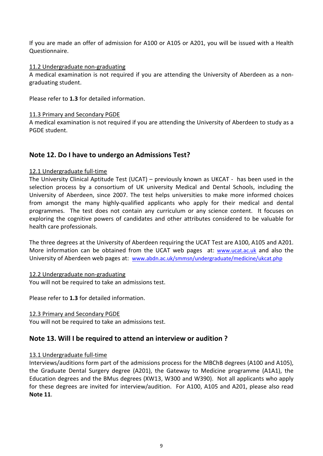If you are made an offer of admission for A100 or A105 or A201, you will be issued with a Health Questionnaire.

#### 11.2 Undergraduate non-graduating

A medical examination is not required if you are attending the University of Aberdeen as a nongraduating student.

Please refer to **1.3** for detailed information.

#### 11.3 Primary and Secondary PGDE

A medical examination is not required if you are attending the University of Aberdeen to study as a PGDE student.

## **Note 12. Do I have to undergo an Admissions Test?**

#### 12.1 Undergraduate full-time

The University Clinical Aptitude Test (UCAT) – previously known as UKCAT - has been used in the selection process by a consortium of UK university Medical and Dental Schools, including the University of Aberdeen, since 2007. The test helps universities to make more informed choices from amongst the many highly-qualified applicants who apply for their medical and dental programmes. The test does not contain any curriculum or any science content. It focuses on exploring the cognitive powers of candidates and other attributes considered to be valuable for health care professionals.

The three degrees at the University of Aberdeen requiring the UCAT Test are A100, A105 and A201. More information can be obtained from the UCAT web pages at: [www.ucat.ac.uk](http://www.ucat.ac.uk/) and also the University of Aberdeen web pages at: [www.abdn.ac.uk/smmsn/undergraduate/medicine/ukcat.php](http://www.abdn.ac.uk/smmsn/undergraduate/medicine/ukcat.php)

#### 12.2 Undergraduate non-graduating

You will not be required to take an admissions test.

Please refer to **1.3** for detailed information.

#### 12.3 Primary and Secondary PGDE

You will not be required to take an admissions test.

## **Note 13. Will I be required to attend an interview or audition ?**

#### 13.1 Undergraduate full-time

Interviews/auditions form part of the admissions process for the MBChB degrees (A100 and A105), the Graduate Dental Surgery degree (A201), the Gateway to Medicine programme (A1A1), the Education degrees and the BMus degrees (XW13, W300 and W390). Not all applicants who apply for these degrees are invited for interview/audition. For A100, A105 and A201, please also read **Note 11**.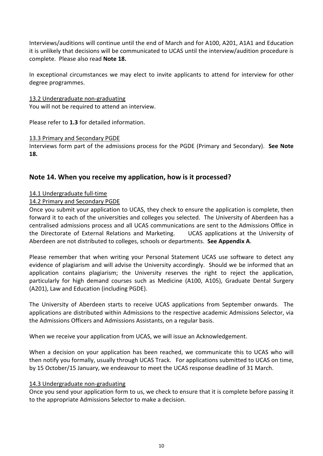Interviews/auditions will continue until the end of March and for A100, A201, A1A1 and Education it is unlikely that decisions will be communicated to UCAS until the interview/audition procedure is complete. Please also read **Note 18.**

In exceptional circumstances we may elect to invite applicants to attend for interview for other degree programmes.

#### 13.2 Undergraduate non-graduating

You will not be required to attend an interview.

Please refer to **1.3** for detailed information.

#### 13.3 Primary and Secondary PGDE

Interviews form part of the admissions process for the PGDE (Primary and Secondary). **See Note 18.**

## **Note 14. When you receive my application, how is it processed?**

#### 14.1 Undergraduate full-time

#### 14.2 Primary and Secondary PGDE

Once you submit your application to UCAS, they check to ensure the application is complete, then forward it to each of the universities and colleges you selected. The University of Aberdeen has a centralised admissions process and all UCAS communications are sent to the Admissions Office in the Directorate of External Relations and Marketing. UCAS applications at the University of Aberdeen are not distributed to colleges, schools or departments. **See Appendix A**.

Please remember that when writing your Personal Statement UCAS use software to detect any evidence of plagiarism and will advise the University accordingly. Should we be informed that an application contains plagiarism; the University reserves the right to reject the application, particularly for high demand courses such as Medicine (A100, A105), Graduate Dental Surgery (A201), Law and Education (including PGDE).

The University of Aberdeen starts to receive UCAS applications from September onwards. The applications are distributed within Admissions to the respective academic Admissions Selector, via the Admissions Officers and Admissions Assistants, on a regular basis.

When we receive your application from UCAS, we will issue an Acknowledgement.

When a decision on your application has been reached, we communicate this to UCAS who will then notify you formally, usually through UCAS Track. For applications submitted to UCAS on time, by 15 October/15 January, we endeavour to meet the UCAS response deadline of 31 March.

#### 14.3 Undergraduate non-graduating

Once you send your application form to us, we check to ensure that it is complete before passing it to the appropriate Admissions Selector to make a decision.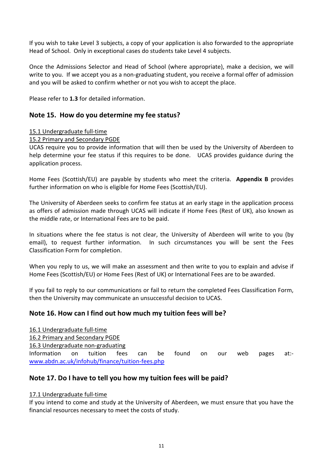If you wish to take Level 3 subjects, a copy of your application is also forwarded to the appropriate Head of School. Only in exceptional cases do students take Level 4 subjects.

Once the Admissions Selector and Head of School (where appropriate), make a decision, we will write to you. If we accept you as a non-graduating student, you receive a formal offer of admission and you will be asked to confirm whether or not you wish to accept the place.

Please refer to **1.3** for detailed information.

## **Note 15. How do you determine my fee status?**

### 15.1 Undergraduate full-time

### 15.2 Primary and Secondary PGDE

UCAS require you to provide information that will then be used by the University of Aberdeen to help determine your fee status if this requires to be done. UCAS provides guidance during the application process.

Home Fees (Scottish/EU) are payable by students who meet the criteria. **Appendix B** provides further information on who is eligible for Home Fees (Scottish/EU).

The University of Aberdeen seeks to confirm fee status at an early stage in the application process as offers of admission made through UCAS will indicate if Home Fees (Rest of UK), also known as the middle rate, or International Fees are to be paid.

In situations where the fee status is not clear, the University of Aberdeen will write to you (by email), to request further information. In such circumstances you will be sent the Fees Classification Form for completion.

When you reply to us, we will make an assessment and then write to you to explain and advise if Home Fees (Scottish/EU) or Home Fees (Rest of UK) or International Fees are to be awarded.

If you fail to reply to our communications or fail to return the completed Fees Classification Form, then the University may communicate an unsuccessful decision to UCAS.

## **Note 16. How can I find out how much my tuition fees will be?**

16.1 Undergraduate full-time 16.2 Primary and Secondary PGDE 16.3 Undergraduate non-graduating Information on tuition fees can be found on our web pages at: [www.abdn.ac.uk/infohub/finance/tuition-fees.php](http://www.abdn.ac.uk/infohub/finance/tuition-fees.php)

## **Note 17. Do I have to tell you how my tuition fees will be paid?**

#### 17.1 Undergraduate full-time

If you intend to come and study at the University of Aberdeen, we must ensure that you have the financial resources necessary to meet the costs of study.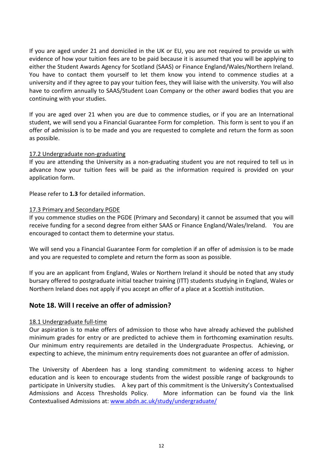If you are aged under 21 and domiciled in the UK or EU, you are not required to provide us with evidence of how your tuition fees are to be paid because it is assumed that you will be applying to either the Student Awards Agency for Scotland (SAAS) or Finance England/Wales/Northern Ireland. You have to contact them yourself to let them know you intend to commence studies at a university and if they agree to pay your tuition fees, they will liaise with the university. You will also have to confirm annually to SAAS/Student Loan Company or the other award bodies that you are continuing with your studies.

If you are aged over 21 when you are due to commence studies, or if you are an International student, we will send you a Financial Guarantee Form for completion. This form is sent to you if an offer of admission is to be made and you are requested to complete and return the form as soon as possible.

#### 17.2 Undergraduate non-graduating

If you are attending the University as a non-graduating student you are not required to tell us in advance how your tuition fees will be paid as the information required is provided on your application form.

Please refer to **1.3** for detailed information.

#### 17.3 Primary and Secondary PGDE

If you commence studies on the PGDE (Primary and Secondary) it cannot be assumed that you will receive funding for a second degree from either SAAS or Finance England/Wales/Ireland. You are encouraged to contact them to determine your status.

We will send you a Financial Guarantee Form for completion if an offer of admission is to be made and you are requested to complete and return the form as soon as possible.

If you are an applicant from England, Wales or Northern Ireland it should be noted that any study bursary offered to postgraduate initial teacher training (ITT) students studying in England, Wales or Northern Ireland does not apply if you accept an offer of a place at a Scottish institution.

## **Note 18. Will I receive an offer of admission?**

#### 18.1 Undergraduate full-time

Our aspiration is to make offers of admission to those who have already achieved the published minimum grades for entry or are predicted to achieve them in forthcoming examination results. Our minimum entry requirements are detailed in the Undergraduate Prospectus. Achieving, or expecting to achieve, the minimum entry requirements does not guarantee an offer of admission.

The University of Aberdeen has a long standing commitment to widening access to higher education and is keen to encourage students from the widest possible range of backgrounds to participate in University studies. A key part of this commitment is the University's Contextualised Admissions and Access Thresholds Policy. More information can be found via the link Contextualised Admissions at: [www.abdn.ac.uk/study/undergraduate/](http://www.abdn.ac.uk/study/undergraduate/)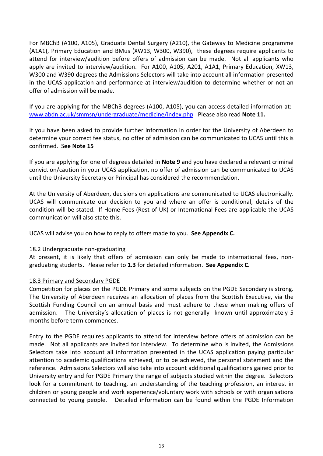For MBChB (A100, A105), Graduate Dental Surgery (A210), the Gateway to Medicine programme (A1A1), Primary Education and BMus (XW13, W300, W390), these degrees require applicants to attend for interview/audition before offers of admission can be made. Not all applicants who apply are invited to interview/audition. For A100, A105, A201, A1A1, Primary Education, XW13, W300 and W390 degrees the Admissions Selectors will take into account all information presented in the UCAS application and performance at interview/audition to determine whether or not an offer of admission will be made.

If you are applying for the MBChB degrees (A100, A105), you can access detailed information at: [www.abdn.ac.uk/smmsn/undergraduate/medicine/index.php](http://www.abdn.ac.uk/smmsn/undergraduate/medicine/index.php) Please also read **Note 11.**

If you have been asked to provide further information in order for the University of Aberdeen to determine your correct fee status, no offer of admission can be communicated to UCAS until this is confirmed. S**ee Note 15**

If you are applying for one of degrees detailed in **Note 9** and you have declared a relevant criminal conviction/caution in your UCAS application, no offer of admission can be communicated to UCAS until the University Secretary or Principal has considered the recommendation.

At the University of Aberdeen, decisions on applications are communicated to UCAS electronically. UCAS will communicate our decision to you and where an offer is conditional, details of the condition will be stated. If Home Fees (Rest of UK) or International Fees are applicable the UCAS communication will also state this.

UCAS will advise you on how to reply to offers made to you. **See Appendix C.**

#### 18.2 Undergraduate non-graduating

At present, it is likely that offers of admission can only be made to international fees, nongraduating students. Please refer to **1.3** for detailed information. **See Appendix C.**

#### 18.3 Primary and Secondary PGDE

Competition for places on the PGDE Primary and some subjects on the PGDE Secondary is strong. The University of Aberdeen receives an allocation of places from the Scottish Executive, via the Scottish Funding Council on an annual basis and must adhere to these when making offers of admission. The University's allocation of places is not generally known until approximately 5 months before term commences.

Entry to the PGDE requires applicants to attend for interview before offers of admission can be made. Not all applicants are invited for interview. To determine who is invited, the Admissions Selectors take into account all information presented in the UCAS application paying particular attention to academic qualifications achieved, or to be achieved, the personal statement and the reference. Admissions Selectors will also take into account additional qualifications gained prior to University entry and for PGDE Primary the range of subjects studied within the degree. Selectors look for a commitment to teaching, an understanding of the teaching profession, an interest in children or young people and work experience/voluntary work with schools or with organisations connected to young people. Detailed information can be found within the PGDE Information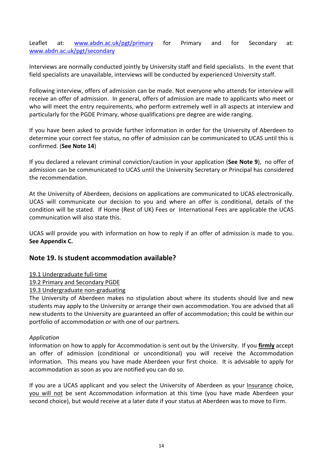Leaflet at: [www.abdn.ac.uk/pgt/primary](http://www.abdn.ac.uk/pgt/primary) for Primary and for Secondary at: [www.abdn.ac.uk/pgt/secondary](http://www.abdn.ac.uk/pgt/secondary)

Interviews are normally conducted jointly by University staff and field specialists. In the event that field specialists are unavailable, interviews will be conducted by experienced University staff.

Following interview, offers of admission can be made. Not everyone who attends for interview will receive an offer of admission. In general, offers of admission are made to applicants who meet or who will meet the entry requirements, who perform extremely well in all aspects at interview and particularly for the PGDE Primary, whose qualifications pre degree are wide ranging.

If you have been asked to provide further information in order for the University of Aberdeen to determine your correct fee status, no offer of admission can be communicated to UCAS until this is confirmed. (**See Note 14**)

If you declared a relevant criminal conviction/caution in your application (**See Note 9**), no offer of admission can be communicated to UCAS until the University Secretary or Principal has considered the recommendation.

At the University of Aberdeen, decisions on applications are communicated to UCAS electronically. UCAS will communicate our decision to you and where an offer is conditional, details of the condition will be stated. If Home (Rest of UK) Fees or International Fees are applicable the UCAS communication will also state this.

UCAS will provide you with information on how to reply if an offer of admission is made to you. **See Appendix C.**

## **Note 19. Is student accommodation available?**

### 19.1 Undergraduate full-time

### 19.2 Primary and Secondary PGDE

#### 19.3 Undergraduate non-graduating

The University of Aberdeen makes no stipulation about where its students should live and new students may apply to the University or arrange their own accommodation. You are advised that all new students to the University are guaranteed an offer of accommodation; this could be within our portfolio of accommodation or with one of our partners.

#### *Application*

Information on how to apply for Accommodation is sent out by the University. If you **firmly** accept an offer of admission (conditional or unconditional) you will receive the Accommodation information. This means you have made Aberdeen your first choice. It is advisable to apply for accommodation as soon as you are notified you can do so.

If you are a UCAS applicant and you select the University of Aberdeen as your **Insurance** choice, you will not be sent Accommodation information at this time (you have made Aberdeen your second choice), but would receive at a later date if your status at Aberdeen was to move to Firm.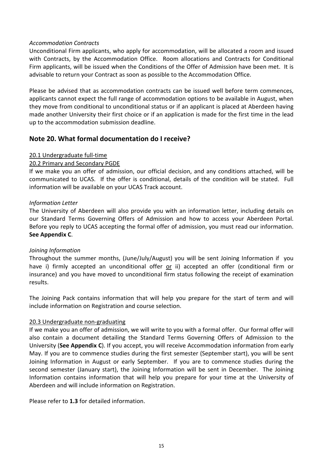#### *Accommodation Contracts*

Unconditional Firm applicants, who apply for accommodation, will be allocated a room and issued with Contracts, by the Accommodation Office. Room allocations and Contracts for Conditional Firm applicants, will be issued when the Conditions of the Offer of Admission have been met. It is advisable to return your Contract as soon as possible to the Accommodation Office.

Please be advised that as accommodation contracts can be issued well before term commences, applicants cannot expect the full range of accommodation options to be available in August, when they move from conditional to unconditional status or if an applicant is placed at Aberdeen having made another University their first choice or if an application is made for the first time in the lead up to the accommodation submission deadline.

### **Note 20. What formal documentation do I receive?**

#### 20.1 Undergraduate full-time

#### 20.2 Primary and Secondary PGDE

If we make you an offer of admission, our official decision, and any conditions attached, will be communicated to UCAS. If the offer is conditional, details of the condition will be stated. Full information will be available on your UCAS Track account.

#### *Information Letter*

The University of Aberdeen will also provide you with an information letter, including details on our Standard Terms Governing Offers of Admission and how to access your Aberdeen Portal. Before you reply to UCAS accepting the formal offer of admission, you must read our information. **See Appendix C**.

#### *Joining Information*

Throughout the summer months, (June/July/August) you will be sent Joining Information if you have i) firmly accepted an unconditional offer  $or$  ii) accepted an offer (conditional firm or insurance) and you have moved to unconditional firm status following the receipt of examination results.

The Joining Pack contains information that will help you prepare for the start of term and will include information on Registration and course selection.

#### 20.3 Undergraduate non-graduating

If we make you an offer of admission, we will write to you with a formal offer. Our formal offer will also contain a document detailing the Standard Terms Governing Offers of Admission to the University (**See Appendix C**). If you accept, you will receive Accommodation information from early May. If you are to commence studies during the first semester (September start), you will be sent Joining Information in August or early September. If you are to commence studies during the second semester (January start), the Joining Information will be sent in December. The Joining Information contains information that will help you prepare for your time at the University of Aberdeen and will include information on Registration.

Please refer to **1.3** for detailed information.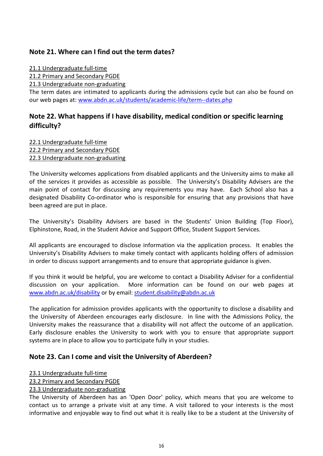## **Note 21. Where can I find out the term dates?**

21.1 Undergraduate full-time

21.2 Primary and Secondary PGDE

21.3 Undergraduate non-graduating

The term dates are intimated to applicants during the admissions cycle but can also be found on our web pages at: [www.abdn.ac.uk/students/academic-life/term--dates.php](http://www.abdn.ac.uk/students/academic-life/term--dates.php)

## **Note 22. What happens if I have disability, medical condition or specific learning difficulty?**

22.1 Undergraduate full-time 22.2 Primary and Secondary PGDE 22.3 Undergraduate non-graduating

The University welcomes applications from disabled applicants and the University aims to make all of the services it provides as accessible as possible. The University's Disability Advisers are the main point of contact for discussing any requirements you may have. Each School also has a designated Disability Co-ordinator who is responsible for ensuring that any provisions that have been agreed are put in place.

The University's Disability Advisers are based in the Students' Union Building (Top Floor), Elphinstone, Road, in the Student Advice and Support Office, Student Support Services.

All applicants are encouraged to disclose information via the application process. It enables the University's Disability Advisers to make timely contact with applicants holding offers of admission in order to discuss support arrangements and to ensure that appropriate guidance is given.

If you think it would be helpful, you are welcome to contact a Disability Adviser for a confidential discussion on your application. More information can be found on our web pages at [www.abdn.ac.uk/disability](http://www.abdn.ac.uk/disability) or by email: [student.disability@abdn.ac.uk](mailto:student.disability@abdn.ac.uk)

The application for admission provides applicants with the opportunity to disclose a disability and the University of Aberdeen encourages early disclosure. In line with the Admissions Policy, the University makes the reassurance that a disability will not affect the outcome of an application. Early disclosure enables the University to work with you to ensure that appropriate support systems are in place to allow you to participate fully in your studies.

## **Note 23. Can I come and visit the University of Aberdeen?**

### 23.1 Undergraduate full-time

## 23.2 Primary and Secondary PGDE

## 23.3 Undergraduate non-graduating

The University of Aberdeen has an 'Open Door' policy, which means that you are welcome to contact us to arrange a private visit at any time. A visit tailored to your interests is the most informative and enjoyable way to find out what it is really like to be a student at the University of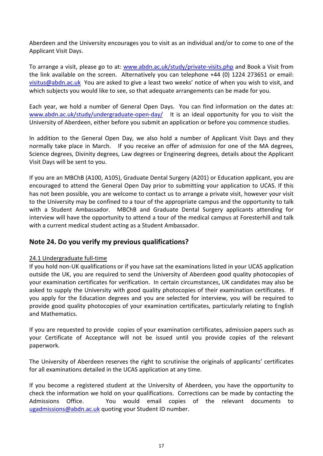Aberdeen and the University encourages you to visit as an individual and/or to come to one of the Applicant Visit Days.

To arrange a visit, please go to at: [www.abdn.ac.uk/study/private-visits.php](http://www.abdn.ac.uk/study/private-visits.php) and Book a Visit from the link available on the screen. Alternatively you can telephone +44 (0) 1224 273651 or email: [visitus@abdn.ac.uk](mailto:visitus@abdn.ac.uk) You are asked to give a least two weeks' notice of when you wish to visit, and which subjects you would like to see, so that adequate arrangements can be made for you.

Each year, we hold a number of General Open Days. You can find information on the dates at: [www.abdn.ac.uk/study/undergraduate-open-day/](http://www.abdn.ac.uk/study/undergraduate-open-day/) It is an ideal opportunity for you to visit the University of Aberdeen, either before you submit an application or before you commence studies.

In addition to the General Open Day, we also hold a number of Applicant Visit Days and they normally take place in March. If you receive an offer of admission for one of the MA degrees, Science degrees, Divinity degrees, Law degrees or Engineering degrees, details about the Applicant Visit Days will be sent to you.

If you are an MBChB (A100, A105), Graduate Dental Surgery (A201) or Education applicant, you are encouraged to attend the General Open Day prior to submitting your application to UCAS. If this has not been possible, you are welcome to contact us to arrange a private visit, however your visit to the University may be confined to a tour of the appropriate campus and the opportunity to talk with a Student Ambassador. MBChB and Graduate Dental Surgery applicants attending for interview will have the opportunity to attend a tour of the medical campus at Foresterhill and talk with a current medical student acting as a Student Ambassador.

## **Note 24. Do you verify my previous qualifications?**

### 24.1 Undergraduate full-time

If you hold non-UK qualifications or if you have sat the examinations listed in your UCAS application outside the UK, you are required to send the University of Aberdeen good quality photocopies of your examination certificates for verification. In certain circumstances, UK candidates may also be asked to supply the University with good quality photocopies of their examination certificates. If you apply for the Education degrees and you are selected for interview, you will be required to provide good quality photocopies of your examination certificates, particularly relating to English and Mathematics.

If you are requested to provide copies of your examination certificates, admission papers such as your Certificate of Acceptance will not be issued until you provide copies of the relevant paperwork.

The University of Aberdeen reserves the right to scrutinise the originals of applicants' certificates for all examinations detailed in the UCAS application at any time.

If you become a registered student at the University of Aberdeen, you have the opportunity to check the information we hold on your qualifications. Corrections can be made by contacting the Admissions Office. You would email copies of the relevant documents to [ugadmissions@abdn.ac.uk](mailto:ugadmissions@abdn.ac.uk) quoting your Student ID number.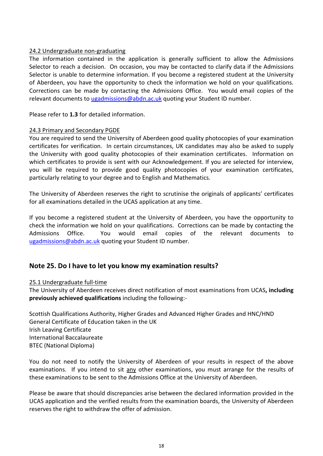#### 24.2 Undergraduate non-graduating

The information contained in the application is generally sufficient to allow the Admissions Selector to reach a decision. On occasion, you may be contacted to clarify data if the Admissions Selector is unable to determine information. If you become a registered student at the University of Aberdeen, you have the opportunity to check the information we hold on your qualifications. Corrections can be made by contacting the Admissions Office. You would email copies of the relevant documents to [ugadmissions@abdn.ac.uk](mailto:ugadmissions@abdn.ac.uk) quoting your Student ID number.

Please refer to **1.3** for detailed information.

#### 24.3 Primary and Secondary PGDE

You are required to send the University of Aberdeen good quality photocopies of your examination certificates for verification. In certain circumstances, UK candidates may also be asked to supply the University with good quality photocopies of their examination certificates. Information on which certificates to provide is sent with our Acknowledgement. If you are selected for interview, you will be required to provide good quality photocopies of your examination certificates, particularly relating to your degree and to English and Mathematics.

The University of Aberdeen reserves the right to scrutinise the originals of applicants' certificates for all examinations detailed in the UCAS application at any time.

If you become a registered student at the University of Aberdeen, you have the opportunity to check the information we hold on your qualifications. Corrections can be made by contacting the Admissions Office. You would email copies of the relevant documents to [ugadmissions@abdn.ac.uk](mailto:ugadmissions@abdn.ac.uk) quoting your Student ID number.

## **Note 25. Do I have to let you know my examination results?**

#### 25.1 Undergraduate full-time

The University of Aberdeen receives direct notification of most examinations from UCAS**, including previously achieved qualifications** including the following:-

Scottish Qualifications Authority, Higher Grades and Advanced Higher Grades and HNC/HND General Certificate of Education taken in the UK Irish Leaving Certificate International Baccalaureate BTEC (National Diploma)

You do not need to notify the University of Aberdeen of your results in respect of the above examinations. If you intend to sit any other examinations, you must arrange for the results of these examinations to be sent to the Admissions Office at the University of Aberdeen.

Please be aware that should discrepancies arise between the declared information provided in the UCAS application and the verified results from the examination boards, the University of Aberdeen reserves the right to withdraw the offer of admission.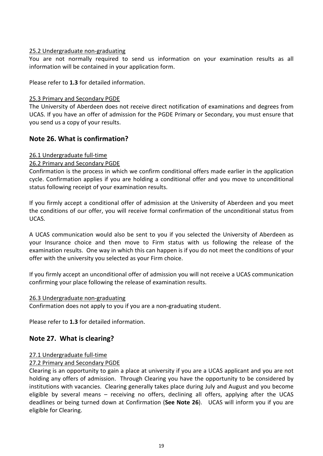#### 25.2 Undergraduate non-graduating

You are not normally required to send us information on your examination results as all information will be contained in your application form.

Please refer to **1.3** for detailed information.

#### 25.3 Primary and Secondary PGDE

The University of Aberdeen does not receive direct notification of examinations and degrees from UCAS. If you have an offer of admission for the PGDE Primary or Secondary, you must ensure that you send us a copy of your results.

### **Note 26. What is confirmation?**

#### 26.1 Undergraduate full-time

### 26.2 Primary and Secondary PGDE

Confirmation is the process in which we confirm conditional offers made earlier in the application cycle. Confirmation applies if you are holding a conditional offer and you move to unconditional status following receipt of your examination results.

If you firmly accept a conditional offer of admission at the University of Aberdeen and you meet the conditions of our offer, you will receive formal confirmation of the unconditional status from UCAS.

A UCAS communication would also be sent to you if you selected the University of Aberdeen as your Insurance choice and then move to Firm status with us following the release of the examination results. One way in which this can happen is if you do not meet the conditions of your offer with the university you selected as your Firm choice.

If you firmly accept an unconditional offer of admission you will not receive a UCAS communication confirming your place following the release of examination results.

#### 26.3 Undergraduate non-graduating

Confirmation does not apply to you if you are a non-graduating student.

Please refer to **1.3** for detailed information.

## **Note 27. What is clearing?**

#### 27.1 Undergraduate full-time

#### 27.2 Primary and Secondary PGDE

Clearing is an opportunity to gain a place at university if you are a UCAS applicant and you are not holding any offers of admission. Through Clearing you have the opportunity to be considered by institutions with vacancies. Clearing generally takes place during July and August and you become eligible by several means – receiving no offers, declining all offers, applying after the UCAS deadlines or being turned down at Confirmation (**See Note 26**). UCAS will inform you if you are eligible for Clearing.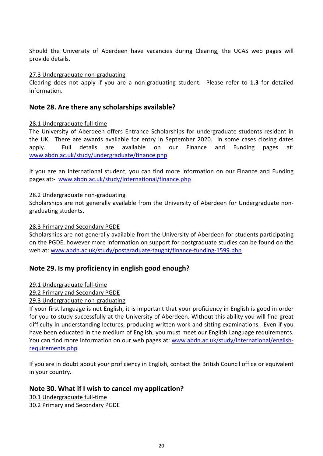Should the University of Aberdeen have vacancies during Clearing, the UCAS web pages will provide details.

#### 27.3 Undergraduate non-graduating

Clearing does not apply if you are a non-graduating student. Please refer to **1.3** for detailed information.

### **Note 28. Are there any scholarships available?**

#### 28.1 Undergraduate full-time

The University of Aberdeen offers Entrance Scholarships for undergraduate students resident in the UK. There are awards available for entry in September 2020. In some cases closing dates apply. Full details are available on our Finance and Funding pages at: [www.abdn.ac.uk/study/undergraduate/finance.php](http://www.abdn.ac.uk/study/undergraduate/finance.php)

If you are an International student, you can find more information on our Finance and Funding pages at:- [www.abdn.ac.uk/study/international/finance.php](http://www.abdn.ac.uk/study/international/finance.php)

#### 28.2 Undergraduate non-graduating

Scholarships are not generally available from the University of Aberdeen for Undergraduate nongraduating students.

#### 28.3 Primary and Secondary PGDE

Scholarships are not generally available from the University of Aberdeen for students participating on the PGDE, however more information on support for postgraduate studies can be found on the web at: [www.abdn.ac.uk/study/postgraduate-taught/finance-funding-1599.php](http://www.abdn.ac.uk/study/postgraduate-taught/finance-funding-1599.php)

## **Note 29. Is my proficiency in english good enough?**

#### 29.1 Undergraduate full-time

### 29.2 Primary and Secondary PGDE

#### 29.3 Undergraduate non-graduating

If your first language is not English, it is important that your proficiency in English is good in order for you to study successfully at the University of Aberdeen. Without this ability you will find great difficulty in understanding lectures, producing written work and sitting examinations. Even if you have been educated in the medium of English, you must meet our English Language requirements. You can find more information on our web pages at: [www.abdn.ac.uk/study/international/english](http://www.abdn.ac.uk/study/international/english-requirements.php)[requirements.php](http://www.abdn.ac.uk/study/international/english-requirements.php)

If you are in doubt about your proficiency in English, contact the British Council office or equivalent in your country.

### **Note 30. What if I wish to cancel my application?**

30.1 Undergraduate full-time 30.2 Primary and Secondary PGDE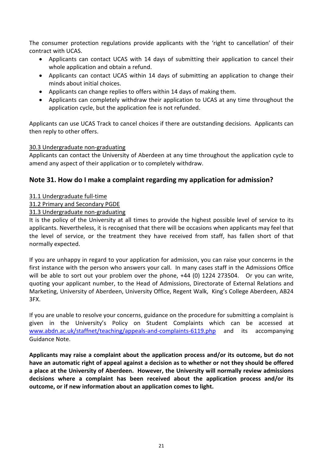The consumer protection regulations provide applicants with the 'right to cancellation' of their contract with UCAS.

- Applicants can contact UCAS with 14 days of submitting their application to cancel their whole application and obtain a refund.
- Applicants can contact UCAS within 14 days of submitting an application to change their minds about initial choices.
- Applicants can change replies to offers within 14 days of making them.
- Applicants can completely withdraw their application to UCAS at any time throughout the application cycle, but the application fee is not refunded.

Applicants can use UCAS Track to cancel choices if there are outstanding decisions. Applicants can then reply to other offers.

### 30.3 Undergraduate non-graduating

Applicants can contact the University of Aberdeen at any time throughout the application cycle to amend any aspect of their application or to completely withdraw.

## **Note 31. How do I make a complaint regarding my application for admission?**

#### 31.1 Undergraduate full-time

### 31.2 Primary and Secondary PGDE

### 31.3 Undergraduate non-graduating

It is the policy of the University at all times to provide the highest possible level of service to its applicants. Nevertheless, it is recognised that there will be occasions when applicants may feel that the level of service, or the treatment they have received from staff, has fallen short of that normally expected.

If you are unhappy in regard to your application for admission, you can raise your concerns in the first instance with the person who answers your call. In many cases staff in the Admissions Office will be able to sort out your problem over the phone, +44 (0) 1224 273504. Or you can write, quoting your applicant number, to the Head of Admissions, Directorate of External Relations and Marketing, University of Aberdeen, University Office, Regent Walk, King's College Aberdeen, AB24 3FX.

If you are unable to resolve your concerns, guidance on the procedure for submitting a complaint is given in the University's Policy on Student Complaints which can be accessed at [www.abdn.ac.uk/staffnet/teaching/appeals-and-complaints-6119.php](http://www.abdn.ac.uk/staffnet/teaching/appeals-and-complaints-6119.php) and its accompanying Guidance Note.

**Applicants may raise a complaint about the application process and/or its outcome, but do not have an automatic right of appeal against a decision as to whether or not they should be offered a place at the University of Aberdeen. However, the University will normally review admissions decisions where a complaint has been received about the application process and/or its outcome, or if new information about an application comes to light.**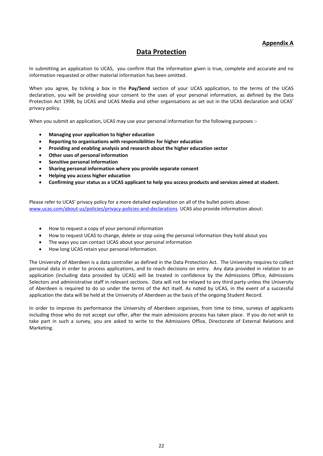#### **Appendix A**

## **Data Protection**

In submitting an application to UCAS, you confirm that the information given is true, complete and accurate and no information requested or other material information has been omitted.

When you agree, by ticking a box in the **Pay/Send** section of your UCAS application, to the terms of the UCAS declaration, you will be providing your consent to the uses of your personal information, as defined by the Data Protection Act 1998, by UCAS and UCAS Media and other organisations as set out in the UCAS declaration and UCAS' privacy policy.

When you submit an application, UCAS may use your personal information for the following purposes :-

- **Managing your application to higher education**
- **Reporting to organisations with responsibilities for higher education**
- **Providing and enabling analysis and research about the higher education sector**
- **Other uses of personal information**
- **Sensitive personal information**
- **Sharing personal information where you provide separate consent**
- **Helping you access higher education**
- **Confirming your status as a UCAS applicant to help you access products and services aimed at student.**

Please refer to UCAS' privacy policy for a more detailed explanation on all of the bullet points above: [www.ucas.com/about-us/policies/privacy-policies-and-declarations](http://www.ucas.com/about-us/policies/privacy-policies-and-declarations) UCAS also provide information about:

- How to request a copy of your personal information
- How to request UCAS to change, delete or stop using the personal information they hold about you
- The ways you can contact UCAS about your personal information
- How long UCAS retain your personal information.

The University of Aberdeen is a data controller as defined in the Data Protection Act. The University requires to collect personal data in order to process applications, and to reach decisions on entry. Any data provided in relation to an application (including data provided by UCAS) will be treated in confidence by the Admissions Office, Admissions Selectors and administrative staff in relevant sections. Data will not be relayed to any third party unless the University of Aberdeen is required to do so under the terms of the Act itself. As noted by UCAS, in the event of a successful application the data will be held at the University of Aberdeen as the basis of the ongoing Student Record.

In order to improve its performance the University of Aberdeen organises, from time to time, surveys of applicants including those who do not accept our offer, after the main admissions process has taken place. If you do not wish to take part in such a survey, you are asked to write to the Admissions Office, Directorate of External Relations and Marketing.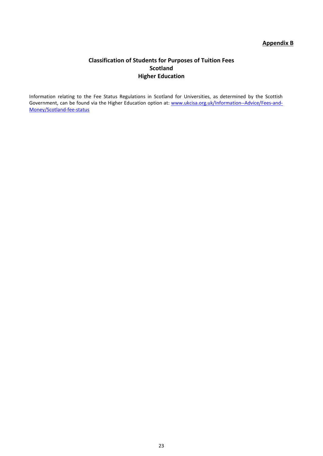### **Appendix B**

### **Classification of Students for Purposes of Tuition Fees Scotland Higher Education**

Information relating to the Fee Status Regulations in Scotland for Universities, as determined by the Scottish Government, can be found via the Higher Education option at: [www.ukcisa.org.uk/Information--Advice/Fees-and-](http://www.ukcisa.org.uk/Information--Advice/Fees-and-Money/Scotland-fee-status)[Money/Scotland-fee-status](http://www.ukcisa.org.uk/Information--Advice/Fees-and-Money/Scotland-fee-status)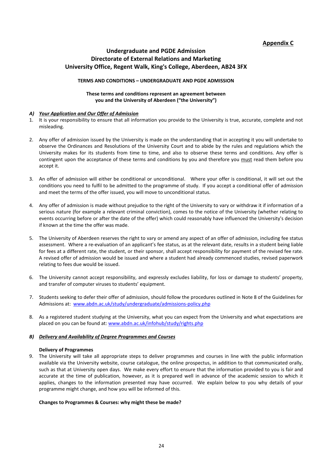#### **Appendix C**

#### **Undergraduate and PGDE Admission Directorate of External Relations and Marketing University Office, Regent Walk, King's College, Aberdeen, AB24 3FX**

#### **TERMS AND CONDITIONS – UNDERGRADUATE AND PGDE ADMISSION**

#### **These terms and conditions represent an agreement between you and the University of Aberdeen ("the University")**

#### *A) Your Application and Our Offer of Admission*

- 1. It is your responsibility to ensure that all information you provide to the University is true, accurate, complete and not misleading.
- 2. Any offer of admission issued by the University is made on the understanding that in accepting it you will undertake to observe the Ordinances and Resolutions of the University Court and to abide by the rules and regulations which the University makes for its students from time to time, and also to observe these terms and conditions. Any offer is contingent upon the acceptance of these terms and conditions by you and therefore you must read them before you accept it.
- 3. An offer of admission will either be conditional or unconditional. Where your offer is conditional, it will set out the conditions you need to fulfil to be admitted to the programme of study. If you accept a conditional offer of admission and meet the terms of the offer issued, you will move to unconditional status.
- 4. Any offer of admission is made without prejudice to the right of the University to vary or withdraw it if information of a serious nature (for example a relevant criminal conviction), comes to the notice of the University (whether relating to events occurring before or after the date of the offer) which could reasonably have influenced the University's decision if known at the time the offer was made.
- 5. The University of Aberdeen reserves the right to vary or amend any aspect of an offer of admission, including fee status assessment. Where a re-evaluation of an applicant's fee status, as at the relevant date, results in a student being liable for fees at a different rate, the student, or their sponsor, shall accept responsibility for payment of the revised fee rate. A revised offer of admission would be issued and where a student had already commenced studies, revised paperwork relating to fees due would be issued.
- 6. The University cannot accept responsibility, and expressly excludes liability, for loss or damage to students' property, and transfer of computer viruses to students' equipment.
- 7. Students seeking to defer their offer of admission, should follow the procedures outlined in Note 8 of the Guidelines for Admissions at: [www.abdn.ac.uk/study/undergraduate/admissions-policy.php](http://www.abdn.ac.uk/study/undergraduate/admissions-policy.php)
- 8. As a registered student studying at the University, what you can expect from the University and what expectations are placed on you can be found at: [www.abdn.ac.uk/infohub/study/rights.php](http://www.abdn.ac.uk/infohub/study/rights.php)

#### *B) Delivery and Availability of Degree Programmes and Courses*

#### **Delivery of Programmes**

9. The University will take all appropriate steps to deliver programmes and courses in line with the public information available via the University website, course catalogue, the online prospectus, in addition to that communicated orally, such as that at University open days. We make every effort to ensure that the information provided to you is fair and accurate at the time of publication, however, as it is prepared well in advance of the academic session to which it applies, changes to the information presented may have occurred. We explain below to you why details of your programme might change, and how you will be informed of this.

#### **Changes to Programmes & Courses: why might these be made?**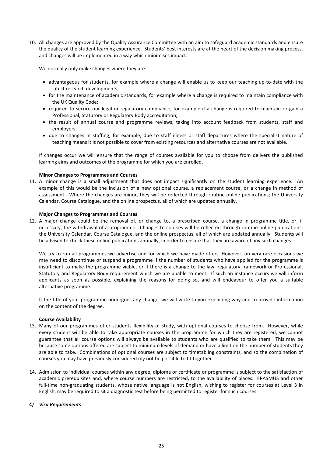10. All changes are approved by the Quality Assurance Committee with an aim to safeguard academic standards and ensure the quality of the student learning experience. Students' best interests are at the heart of the decision making process, and changes will be implemented in a way which minimises impact.

We normally only make changes where they are:

- advantageous for students, for example where a change will enable us to keep our teaching up-to-date with the latest research developments;
- for the maintenance of academic standards, for example where a change is required to maintain compliance with the UK Quality Code;
- required to secure our legal or regulatory compliance, for example if a change is required to maintain or gain a Professional, Statutory or Regulatory Body accreditation;
- the result of annual course and programme reviews, taking into account feedback from students, staff and employers;
- due to changes in staffing, for example, due to staff illness or staff departures where the specialist nature of teaching means it is not possible to cover from existing resources and alternative courses are not available.

If changes occur we will ensure that the range of courses available for you to choose from delivers the published learning aims and outcomes of the programme for which you are enrolled.

#### **Minor Changes to Programmes and Courses**

11. A minor change is a small adjustment that does not impact significantly on the student learning experience. An example of this would be the inclusion of a new optional course, a replacement course, or a change in method of assessment. Where the changes are minor, they will be reflected through routine online publications; the University Calendar, Course Catalogue, and the online prospectus, all of which are updated annually.

#### **Major Changes to Programmes and Courses**

12. A major change could be the removal of, or change to, a prescribed course, a change in programme title, or, if necessary, the withdrawal of a programme. Changes to courses will be reflected through routine online publications; the University Calendar, Course Catalogue, and the online prospectus, all of which are updated annually. Students will be advised to check these online publications annually, in order to ensure that they are aware of any such changes.

We try to run all programmes we advertise and for which we have made offers. However, on very rare occasions we may need to discontinue or suspend a programme if the number of students who have applied for the programme is insufficient to make the programme viable, or if there is a change to the law, regulatory framework or Professional, Statutory and Regulatory Body requirement which we are unable to meet. If such an instance occurs we will inform applicants as soon as possible, explaining the reasons for doing so, and will endeavour to offer you a suitable alternative programme.

If the title of your programme undergoes any change, we will write to you explaining why and to provide information on the content of the degree.

#### **Course Availability**

- 13. Many of our programmes offer students flexibility of study, with optional courses to choose from. However, while every student will be able to take appropriate courses in the programme for which they are registered, we cannot guarantee that all course options will always be available to students who are qualified to take them. This may be because some options offered are subject to minimum levels of demand or have a limit on the number of students they are able to take. Combinations of optional courses are subject to timetabling constraints, and so the combination of courses you may have previously considered my not be possible to fit together.
- 14. Admission to individual courses within any degree, diploma or certificate or programme is subject to the satisfaction of academic prerequisites and, where course numbers are restricted, to the availability of places. ERASMUS and other full-time non-graduating students, whose native language is not English, wishing to register for courses at Level 3 in English, may be required to sit a diagnostic test before being permitted to register for such courses.

#### *C) Visa Requirements*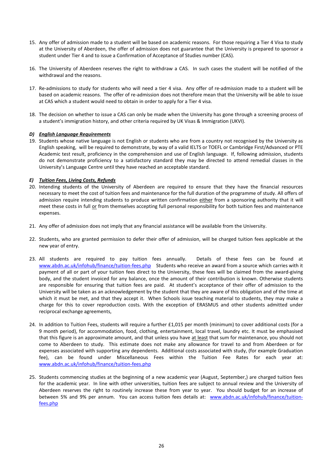- 15. Any offer of admission made to a student will be based on academic reasons. For those requiring a Tier 4 Visa to study at the University of Aberdeen, the offer of admission does not guarantee that the University is prepared to sponsor a student under Tier 4 and to issue a Confirmation of Acceptance of Studies number (CAS).
- 16. The University of Aberdeen reserves the right to withdraw a CAS. In such cases the student will be notified of the withdrawal and the reasons.
- 17. Re-admissions to study for students who will need a tier 4 visa. Any offer of re-admission made to a student will be based on academic reasons. The offer of re-admission does not therefore mean that the University will be able to issue at CAS which a student would need to obtain in order to apply for a Tier 4 visa.
- 18. The decision on whether to issue a CAS can only be made when the University has gone through a screening process of a student's immigration history, and other criteria required by UK Visas & Immigration (UKVI).

#### *D) English Language Requirements*

19. Students whose native language is not English or students who are from a country not recognised by the University as English speaking, will be required to demonstrate, by way of a valid IELTS or TOEFL or Cambridge First/Advanced or PTE Academic test result, proficiency in the comprehension and use of English language. If, following admission, students do not demonstrate proficiency to a satisfactory standard they may be directed to attend remedial classes in the University's Language Centre until they have reached an acceptable standard.

#### *E) Tuition Fees, Living Costs, Refunds*

- 20. Intending students of the University of Aberdeen are required to ensure that they have the financial resources necessary to meet the cost of tuition fees and maintenance for the full duration of the programme of study. All offers of admission require intending students to produce written confirmation either from a sponsoring authority that it will meet these costs in full or from themselves accepting full personal responsibility for both tuition fees and maintenance expenses.
- 21. Any offer of admission does not imply that any financial assistance will be available from the University.
- 22. Students, who are granted permission to defer their offer of admission, will be charged tuition fees applicable at the new year of entry.
- 23. All students are required to pay tuition fees annually. Details of these fees can be found at [www.abdn.ac.uk/infohub/finance/tuition-fees.php](http://www.abdn.ac.uk/infohub/finance/tuition-fees.php) Students who receive an award from a source which carries with it payment of all or part of your tuition fees direct to the University, these fees will be claimed from the award-giving body, and the student invoiced for any balance, once the amount of their contribution is known. Otherwise students are responsible for ensuring that tuition fees are paid. At student's acceptance of their offer of admission to the University will be taken as an acknowledgement by the student that they are aware of this obligation and of the time at which it must be met, and that they accept it. When Schools issue teaching material to students, they may make a charge for this to cover reproduction costs. With the exception of ERASMUS and other students admitted under reciprocal exchange agreements,
- 24. In addition to Tuition Fees, students will require a further £1,015 per month (minimum) to cover additional costs (for a 9 month period), for accommodation, food, clothing, entertainment, local travel, laundry etc. It must be emphasised that this figure is an approximate amount, and that unless you have at least that sum for maintenance, you should not come to Aberdeen to study. This estimate does not make any allowance for travel to and from Aberdeen or for expenses associated with supporting any dependents. Additional costs associated with study, (for example Graduation fee), can be found under Miscellaneous Fees within the Tuition Fee Rates for each year at: [www.abdn.ac.uk/infohub/finance/tuition-fees.php](http://www.abdn.ac.uk/infohub/finance/tuition-fees.php)
- 25. Students commencing studies at the beginning of a new academic year (August, September,) are charged tuition fees for the academic year. In line with other universities, tuition fees are subject to annual review and the University of Aberdeen reserves the right to routinely increase these from year to year. You should budget for an increase of between 5% and 9% per annum. You can access tuition fees details at: [www.abdn.ac.uk/infohub/finance/tuition](http://www.abdn.ac.uk/infohub/finance/tuition-fees.php)[fees.php](http://www.abdn.ac.uk/infohub/finance/tuition-fees.php)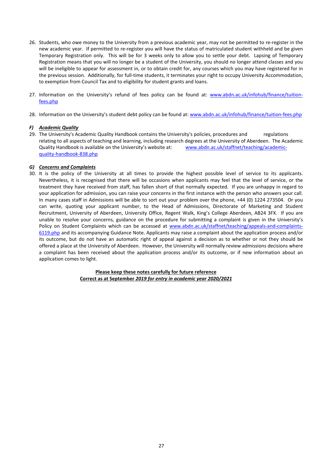- 26. Students, who owe money to the University from a previous academic year, may not be permitted to re-register in the new academic year. If permitted to re-register you will have the status of matriculated student withheld and be given Temporary Registration only. This will be for 3 weeks only to allow you to settle your debt. Lapsing of Temporary Registration means that you will no longer be a student of the University, you should no longer attend classes and you will be ineligible to appear for assessment in, or to obtain credit for, any courses which you may have registered for in the previous session. Additionally, for full-time students, it terminates your right to occupy University Accommodation, to exemption from Council Tax and to eligibility for student grants and loans.
- 27. Information on the University's refund of fees policy can be found at: [www.abdn.ac.uk/infohub/finance/tuition](http://www.abdn.ac.uk/infohub/finance/tuition-fees.php)[fees.php](http://www.abdn.ac.uk/infohub/finance/tuition-fees.php)
- 28. Information on the University's student debt policy can be found at[: www.abdn.ac.uk/infohub/finance/tuition-fees.php](http://www.abdn.ac.uk/infohub/finance/tuition-fees.php)

#### *F) Academic Quality*

29. The University's Academic Quality Handbook contains the University's policies, procedures and regulations relating to all aspects of teaching and learning, including research degrees at the University of Aberdeen. The Academic Quality Handbook is available on the University's website at: [www.abdn.ac.uk/staffnet/teaching/academic](http://www.abdn.ac.uk/staffnet/teaching/academic-quality-handbook-838.php)[quality-handbook-838.php](http://www.abdn.ac.uk/staffnet/teaching/academic-quality-handbook-838.php)

#### *G) Concerns and Complaints*

30. It is the policy of the University at all times to provide the highest possible level of service to its applicants. Nevertheless, it is recognised that there will be occasions when applicants may feel that the level of service, or the treatment they have received from staff, has fallen short of that normally expected. If you are unhappy in regard to your application for admission, you can raise your concerns in the first instance with the person who answers your call. In many cases staff in Admissions will be able to sort out your problem over the phone, +44 (0) 1224 273504. Or you can write, quoting your applicant number, to the Head of Admissions, Directorate of Marketing and Student Recruitment, University of Aberdeen, University Office, Regent Walk, King's College Aberdeen, AB24 3FX. If you are unable to resolve your concerns, guidance on the procedure for submitting a complaint is given in the University's Policy on Student Complaints which can be accessed at [www.abdn.ac.uk/staffnet/teaching/appeals-and-complaints-](http://www.abdn.ac.uk/staffnet/teaching/appeals-and-complaints-6119.php)[6119.php](http://www.abdn.ac.uk/staffnet/teaching/appeals-and-complaints-6119.php) and its accompanying Guidance Note. Applicants may raise a complaint about the application process and/or its outcome, but do not have an automatic right of appeal against a decision as to whether or not they should be offered a place at the University of Aberdeen. However, the University will normally review admissions decisions where a complaint has been received about the application process and/or its outcome, or if new information about an application comes to light.

> **Please keep these notes carefully for future reference Correct as at September** *2019 for entry in academic year 2020/2021*